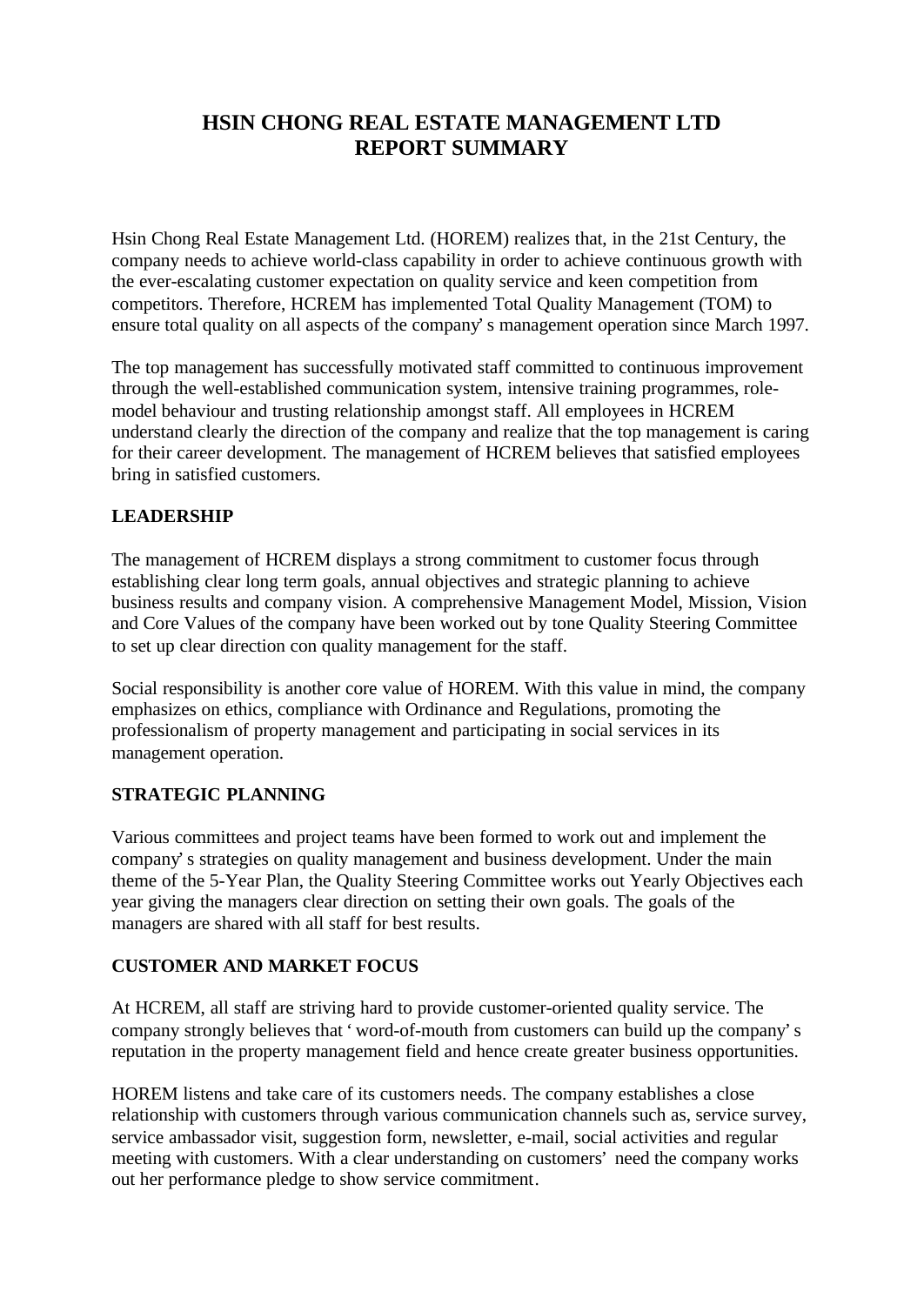# **HSIN CHONG REAL ESTATE MANAGEMENT LTD REPORT SUMMARY**

Hsin Chong Real Estate Management Ltd. (HOREM) realizes that, in the 21st Century, the company needs to achieve world-class capability in order to achieve continuous growth with the ever-escalating customer expectation on quality service and keen competition from competitors. Therefore, HCREM has implemented Total Quality Management (TOM) to ensure total quality on all aspects of the company's management operation since March 1997.

The top management has successfully motivated staff committed to continuous improvement through the well-established communication system, intensive training programmes, rolemodel behaviour and trusting relationship amongst staff. All employees in HCREM understand clearly the direction of the company and realize that the top management is caring for their career development. The management of HCREM believes that satisfied employees bring in satisfied customers.

# **LEADERSHIP**

The management of HCREM displays a strong commitment to customer focus through establishing clear long term goals, annual objectives and strategic planning to achieve business results and company vision. A comprehensive Management Model, Mission, Vision and Core Values of the company have been worked out by tone Quality Steering Committee to set up clear direction con quality management for the staff.

Social responsibility is another core value of HOREM. With this value in mind, the company emphasizes on ethics, compliance with Ordinance and Regulations, promoting the professionalism of property management and participating in social services in its management operation.

## **STRATEGIC PLANNING**

Various committees and project teams have been formed to work out and implement the company's strategies on quality management and business development. Under the main theme of the 5-Year Plan, the Quality Steering Committee works out Yearly Objectives each year giving the managers clear direction on setting their own goals. The goals of the managers are shared with all staff for best results.

## **CUSTOMER AND MARKET FOCUS**

At HCREM, all staff are striving hard to provide customer-oriented quality service. The company strongly believes that 'word-of-mouth from customers can build up the company's reputation in the property management field and hence create greater business opportunities.

HOREM listens and take care of its customers needs. The company establishes a close relationship with customers through various communication channels such as, service survey, service ambassador visit, suggestion form, newsletter, e-mail, social activities and regular meeting with customers. With a clear understanding on customers' need the company works out her performance pledge to show service commitment.